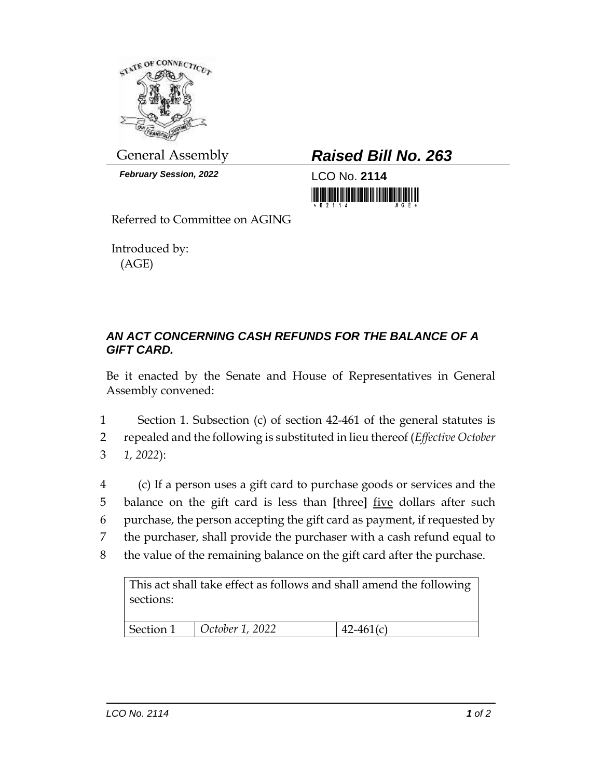

*February Session, 2022* LCO No. **2114**

General Assembly *Raised Bill No. 263*

<u> 1999 - Andrea Maria Andrea Andrea Andrea Andrea Andrea Andrea Andrea Andrea Andrea Andrea Andrea Andrea Andrea</u>

Referred to Committee on AGING

Introduced by: (AGE)

## *AN ACT CONCERNING CASH REFUNDS FOR THE BALANCE OF A GIFT CARD.*

Be it enacted by the Senate and House of Representatives in General Assembly convened:

1 Section 1. Subsection (c) of section 42-461 of the general statutes is 2 repealed and the following is substituted in lieu thereof (*Effective October*  3 *1, 2022*):

 (c) If a person uses a gift card to purchase goods or services and the balance on the gift card is less than **[**three**]** five dollars after such purchase, the person accepting the gift card as payment, if requested by the purchaser, shall provide the purchaser with a cash refund equal to the value of the remaining balance on the gift card after the purchase.

This act shall take effect as follows and shall amend the following sections:

| Section 1 | October 1, 2022 | $142 - 461(c)$ |
|-----------|-----------------|----------------|